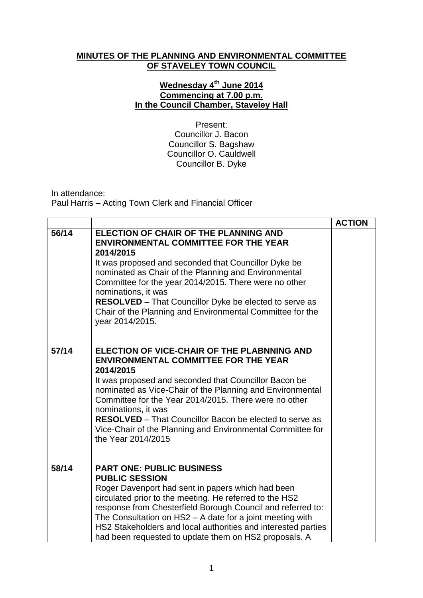## **MINUTES OF THE PLANNING AND ENVIRONMENTAL COMMITTEE OF STAVELEY TOWN COUNCIL**

## **Wednesday 4 th June 2014 Commencing at 7.00 p.m. In the Council Chamber, Staveley Hall**

Present: Councillor J. Bacon Councillor S. Bagshaw Councillor O. Cauldwell Councillor B. Dyke

In attendance: Paul Harris – Acting Town Clerk and Financial Officer

|       |                                                                                                                                                                                                                                                                                                                                                                                                                                                                     | <b>ACTION</b> |
|-------|---------------------------------------------------------------------------------------------------------------------------------------------------------------------------------------------------------------------------------------------------------------------------------------------------------------------------------------------------------------------------------------------------------------------------------------------------------------------|---------------|
| 56/14 | <b>ELECTION OF CHAIR OF THE PLANNING AND</b><br><b>ENVIRONMENTAL COMMITTEE FOR THE YEAR</b><br>2014/2015<br>It was proposed and seconded that Councillor Dyke be<br>nominated as Chair of the Planning and Environmental<br>Committee for the year 2014/2015. There were no other<br>nominations, it was<br><b>RESOLVED - That Councillor Dyke be elected to serve as</b><br>Chair of the Planning and Environmental Committee for the<br>year 2014/2015.           |               |
| 57/14 | ELECTION OF VICE-CHAIR OF THE PLABNNING AND<br><b>ENVIRONMENTAL COMMITTEE FOR THE YEAR</b><br>2014/2015<br>It was proposed and seconded that Councillor Bacon be<br>nominated as Vice-Chair of the Planning and Environmental<br>Committee for the Year 2014/2015. There were no other<br>nominations, it was<br><b>RESOLVED</b> – That Councillor Bacon be elected to serve as<br>Vice-Chair of the Planning and Environmental Committee for<br>the Year 2014/2015 |               |
| 58/14 | <b>PART ONE: PUBLIC BUSINESS</b><br><b>PUBLIC SESSION</b><br>Roger Davenport had sent in papers which had been<br>circulated prior to the meeting. He referred to the HS2<br>response from Chesterfield Borough Council and referred to:<br>The Consultation on HS2 - A date for a joint meeting with<br>HS2 Stakeholders and local authorities and interested parties<br>had been requested to update them on HS2 proposals. A                                     |               |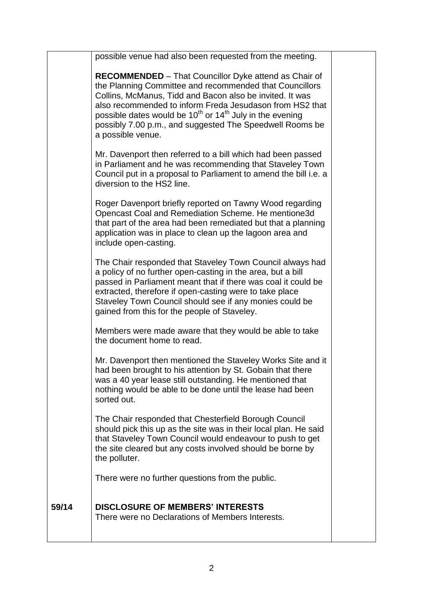|       | possible venue had also been requested from the meeting.                                                                                                                                                                                                                                                                                                                                               |  |
|-------|--------------------------------------------------------------------------------------------------------------------------------------------------------------------------------------------------------------------------------------------------------------------------------------------------------------------------------------------------------------------------------------------------------|--|
|       | <b>RECOMMENDED</b> – That Councillor Dyke attend as Chair of<br>the Planning Committee and recommended that Councillors<br>Collins, McManus, Tidd and Bacon also be invited. It was<br>also recommended to inform Freda Jesudason from HS2 that<br>possible dates would be $10^{th}$ or $14^{th}$ July in the evening<br>possibly 7.00 p.m., and suggested The Speedwell Rooms be<br>a possible venue. |  |
|       | Mr. Davenport then referred to a bill which had been passed<br>in Parliament and he was recommending that Staveley Town<br>Council put in a proposal to Parliament to amend the bill i.e. a<br>diversion to the HS2 line.                                                                                                                                                                              |  |
|       | Roger Davenport briefly reported on Tawny Wood regarding<br>Opencast Coal and Remediation Scheme. He mentione3d<br>that part of the area had been remediated but that a planning<br>application was in place to clean up the lagoon area and<br>include open-casting.                                                                                                                                  |  |
|       | The Chair responded that Staveley Town Council always had<br>a policy of no further open-casting in the area, but a bill<br>passed in Parliament meant that if there was coal it could be<br>extracted, therefore if open-casting were to take place<br>Staveley Town Council should see if any monies could be<br>gained from this for the people of Staveley.                                        |  |
|       | Members were made aware that they would be able to take<br>the document home to read.                                                                                                                                                                                                                                                                                                                  |  |
|       | Mr. Davenport then mentioned the Staveley Works Site and it<br>had been brought to his attention by St. Gobain that there<br>was a 40 year lease still outstanding. He mentioned that<br>nothing would be able to be done until the lease had been<br>sorted out.                                                                                                                                      |  |
|       | The Chair responded that Chesterfield Borough Council<br>should pick this up as the site was in their local plan. He said<br>that Staveley Town Council would endeavour to push to get<br>the site cleared but any costs involved should be borne by<br>the polluter.                                                                                                                                  |  |
|       | There were no further questions from the public.                                                                                                                                                                                                                                                                                                                                                       |  |
| 59/14 | <b>DISCLOSURE OF MEMBERS' INTERESTS</b><br>There were no Declarations of Members Interests.                                                                                                                                                                                                                                                                                                            |  |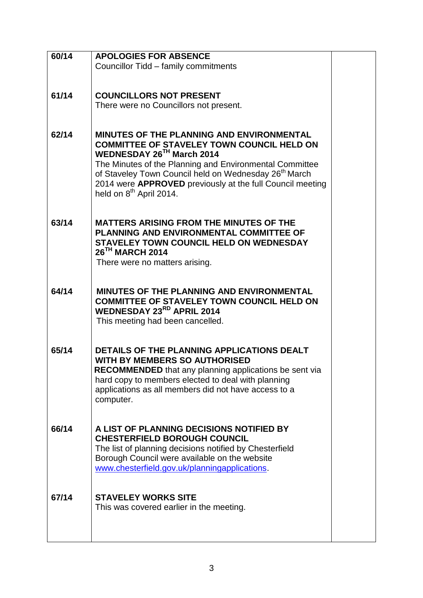| 60/14 | <b>APOLOGIES FOR ABSENCE</b>                                                          |  |
|-------|---------------------------------------------------------------------------------------|--|
|       | Councillor Tidd - family commitments                                                  |  |
|       |                                                                                       |  |
|       |                                                                                       |  |
| 61/14 | <b>COUNCILLORS NOT PRESENT</b>                                                        |  |
|       | There were no Councillors not present.                                                |  |
|       |                                                                                       |  |
|       |                                                                                       |  |
| 62/14 | <b>MINUTES OF THE PLANNING AND ENVIRONMENTAL</b>                                      |  |
|       | <b>COMMITTEE OF STAVELEY TOWN COUNCIL HELD ON</b>                                     |  |
|       | WEDNESDAY 26TH March 2014                                                             |  |
|       | The Minutes of the Planning and Environmental Committee                               |  |
|       | of Staveley Town Council held on Wednesday 26 <sup>th</sup> March                     |  |
|       | 2014 were APPROVED previously at the full Council meeting                             |  |
|       | held on 8 <sup>th</sup> April 2014.                                                   |  |
|       |                                                                                       |  |
| 63/14 | <b>MATTERS ARISING FROM THE MINUTES OF THE</b>                                        |  |
|       | PLANNING AND ENVIRONMENTAL COMMITTEE OF                                               |  |
|       | <b>STAVELEY TOWN COUNCIL HELD ON WEDNESDAY</b>                                        |  |
|       | 26 <sup>TH</sup> MARCH 2014                                                           |  |
|       | There were no matters arising.                                                        |  |
|       |                                                                                       |  |
|       |                                                                                       |  |
| 64/14 | <b>MINUTES OF THE PLANNING AND ENVIRONMENTAL</b>                                      |  |
|       | <b>COMMITTEE OF STAVELEY TOWN COUNCIL HELD ON</b><br><b>WEDNESDAY 23RD APRIL 2014</b> |  |
|       | This meeting had been cancelled.                                                      |  |
|       |                                                                                       |  |
|       |                                                                                       |  |
| 65/14 | DETAILS OF THE PLANNING APPLICATIONS DEALT                                            |  |
|       | <b>WITH BY MEMBERS SO AUTHORISED</b>                                                  |  |
|       | RECOMMENDED that any planning applications be sent via                                |  |
|       | hard copy to members elected to deal with planning                                    |  |
|       | applications as all members did not have access to a                                  |  |
|       | computer.                                                                             |  |
|       |                                                                                       |  |
| 66/14 | A LIST OF PLANNING DECISIONS NOTIFIED BY                                              |  |
|       | <b>CHESTERFIELD BOROUGH COUNCIL</b>                                                   |  |
|       | The list of planning decisions notified by Chesterfield                               |  |
|       | Borough Council were available on the website                                         |  |
|       | www.chesterfield.gov.uk/planningapplications.                                         |  |
|       |                                                                                       |  |
| 67/14 |                                                                                       |  |
|       | <b>STAVELEY WORKS SITE</b><br>This was covered earlier in the meeting.                |  |
|       |                                                                                       |  |
|       |                                                                                       |  |
|       |                                                                                       |  |